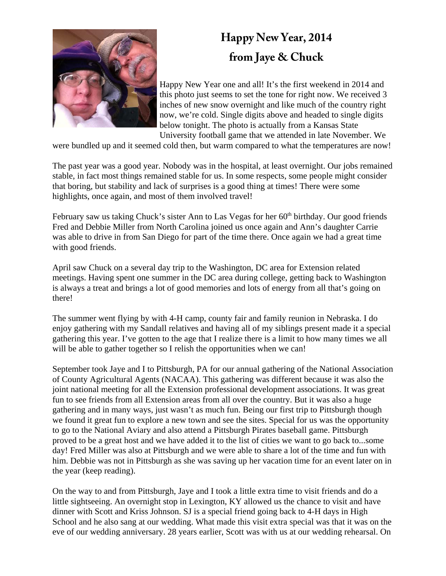

## **Happy New Year, 2014 from Jaye & Chuck**

Happy New Year one and all! It's the first weekend in 2014 and this photo just seems to set the tone for right now. We received 3 inches of new snow overnight and like much of the country right now, we're cold. Single digits above and headed to single digits below tonight. The photo is actually from a Kansas State University football game that we attended in late November. We

were bundled up and it seemed cold then, but warm compared to what the temperatures are now!

The past year was a good year. Nobody was in the hospital, at least overnight. Our jobs remained stable, in fact most things remained stable for us. In some respects, some people might consider that boring, but stability and lack of surprises is a good thing at times! There were some highlights, once again, and most of them involved travel!

February saw us taking Chuck's sister Ann to Las Vegas for her 60<sup>th</sup> birthday. Our good friends Fred and Debbie Miller from North Carolina joined us once again and Ann's daughter Carrie was able to drive in from San Diego for part of the time there. Once again we had a great time with good friends.

April saw Chuck on a several day trip to the Washington, DC area for Extension related meetings. Having spent one summer in the DC area during college, getting back to Washington is always a treat and brings a lot of good memories and lots of energy from all that's going on there!

The summer went flying by with 4-H camp, county fair and family reunion in Nebraska. I do enjoy gathering with my Sandall relatives and having all of my siblings present made it a special gathering this year. I've gotten to the age that I realize there is a limit to how many times we all will be able to gather together so I relish the opportunities when we can!

September took Jaye and I to Pittsburgh, PA for our annual gathering of the National Association of County Agricultural Agents (NACAA). This gathering was different because it was also the joint national meeting for all the Extension professional development associations. It was great fun to see friends from all Extension areas from all over the country. But it was also a huge gathering and in many ways, just wasn't as much fun. Being our first trip to Pittsburgh though we found it great fun to explore a new town and see the sites. Special for us was the opportunity to go to the National Aviary and also attend a Pittsburgh Pirates baseball game. Pittsburgh proved to be a great host and we have added it to the list of cities we want to go back to...some day! Fred Miller was also at Pittsburgh and we were able to share a lot of the time and fun with him. Debbie was not in Pittsburgh as she was saving up her vacation time for an event later on in the year (keep reading).

On the way to and from Pittsburgh, Jaye and I took a little extra time to visit friends and do a little sightseeing. An overnight stop in Lexington, KY allowed us the chance to visit and have dinner with Scott and Kriss Johnson. SJ is a special friend going back to 4-H days in High School and he also sang at our wedding. What made this visit extra special was that it was on the eve of our wedding anniversary. 28 years earlier, Scott was with us at our wedding rehearsal. On